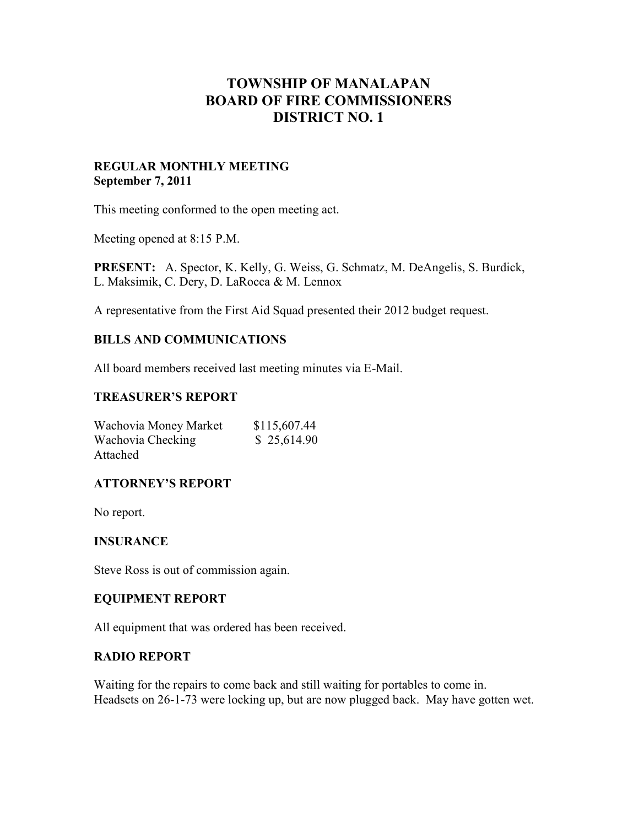# **TOWNSHIP OF MANALAPAN BOARD OF FIRE COMMISSIONERS DISTRICT NO. 1**

# **REGULAR MONTHLY MEETING September 7, 2011**

This meeting conformed to the open meeting act.

Meeting opened at 8:15 P.M.

**PRESENT:** A. Spector, K. Kelly, G. Weiss, G. Schmatz, M. DeAngelis, S. Burdick, L. Maksimik, C. Dery, D. LaRocca & M. Lennox

A representative from the First Aid Squad presented their 2012 budget request.

# **BILLS AND COMMUNICATIONS**

All board members received last meeting minutes via E-Mail.

# **TREASURER'S REPORT**

| Wachovia Money Market | \$115,607.44 |
|-----------------------|--------------|
| Wachovia Checking     | \$25,614.90  |
| Attached              |              |

## **ATTORNEY'S REPORT**

No report.

## **INSURANCE**

Steve Ross is out of commission again.

## **EQUIPMENT REPORT**

All equipment that was ordered has been received.

## **RADIO REPORT**

Waiting for the repairs to come back and still waiting for portables to come in. Headsets on 26-1-73 were locking up, but are now plugged back. May have gotten wet.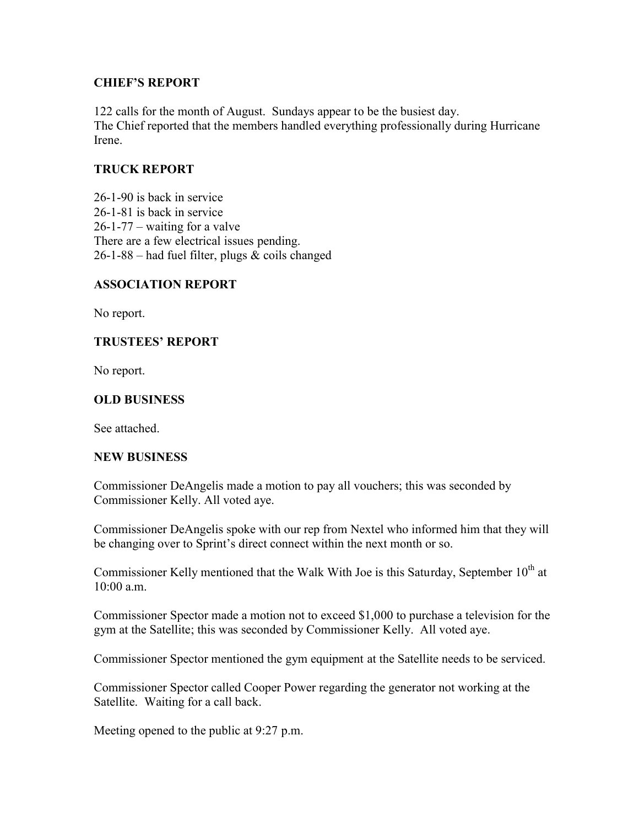# **CHIEF'S REPORT**

122 calls for the month of August. Sundays appear to be the busiest day. The Chief reported that the members handled everything professionally during Hurricane Irene.

# **TRUCK REPORT**

26-1-90 is back in service 26-1-81 is back in service 26-1-77 – waiting for a valve There are a few electrical issues pending.  $26-1-88$  – had fuel filter, plugs & coils changed

## **ASSOCIATION REPORT**

No report.

# **TRUSTEES' REPORT**

No report.

# **OLD BUSINESS**

See attached.

## **NEW BUSINESS**

Commissioner DeAngelis made a motion to pay all vouchers; this was seconded by Commissioner Kelly. All voted aye.

Commissioner DeAngelis spoke with our rep from Nextel who informed him that they will be changing over to Sprint's direct connect within the next month or so.

Commissioner Kelly mentioned that the Walk With Joe is this Saturday, September 10<sup>th</sup> at 10:00 a.m.

Commissioner Spector made a motion not to exceed \$1,000 to purchase a television for the gym at the Satellite; this was seconded by Commissioner Kelly. All voted aye.

Commissioner Spector mentioned the gym equipment at the Satellite needs to be serviced.

Commissioner Spector called Cooper Power regarding the generator not working at the Satellite. Waiting for a call back.

Meeting opened to the public at 9:27 p.m.